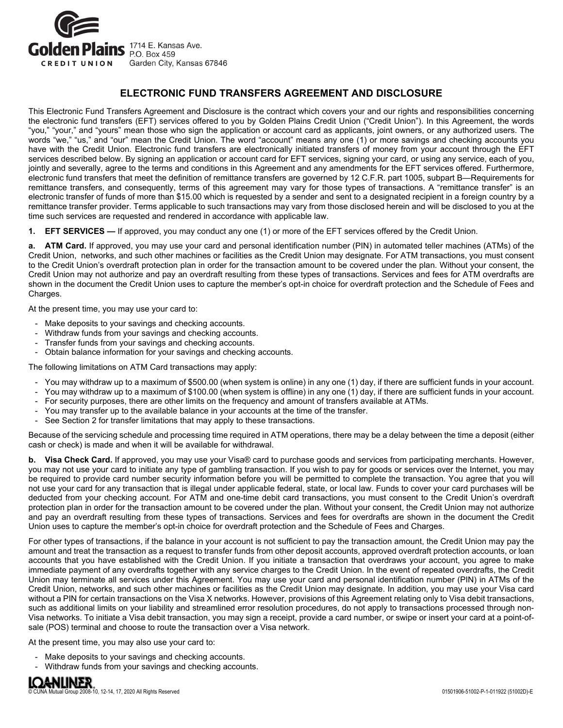

## **ELECTRONIC FUND TRANSFERS AGREEMENT AND DISCLOSURE**

This Electronic Fund Transfers Agreement and Disclosure is the contract which covers your and our rights and responsibilities concerning the electronic fund transfers (EFT) services offered to you by Golden Plains Credit Union ("Credit Union"). In this Agreement, the words "you," "your," and "yours" mean those who sign the application or account card as applicants, joint owners, or any authorized users. The words "we," "us," and "our" mean the Credit Union. The word "account" means any one (1) or more savings and checking accounts you have with the Credit Union. Electronic fund transfers are electronically initiated transfers of money from your account through the EFT services described below. By signing an application or account card for EFT services, signing your card, or using any service, each of you, jointly and severally, agree to the terms and conditions in this Agreement and any amendments for the EFT services offered. Furthermore, electronic fund transfers that meet the definition of remittance transfers are governed by 12 C.F.R. part 1005, subpart B—Requirements for remittance transfers, and consequently, terms of this agreement may vary for those types of transactions. A "remittance transfer" is an electronic transfer of funds of more than \$15.00 which is requested by a sender and sent to a designated recipient in a foreign country by a remittance transfer provider. Terms applicable to such transactions may vary from those disclosed herein and will be disclosed to you at the time such services are requested and rendered in accordance with applicable law.

**1. EFT SERVICES —** If approved, you may conduct any one (1) or more of the EFT services offered by the Credit Union.

**a. ATM Card.** If approved, you may use your card and personal identification number (PIN) in automated teller machines (ATMs) of the Credit Union, networks, and such other machines or facilities as the Credit Union may designate. For ATM transactions, you must consent to the Credit Union's overdraft protection plan in order for the transaction amount to be covered under the plan. Without your consent, the Credit Union may not authorize and pay an overdraft resulting from these types of transactions. Services and fees for ATM overdrafts are shown in the document the Credit Union uses to capture the member's opt-in choice for overdraft protection and the Schedule of Fees and Charges.

At the present time, you may use your card to:

- Make deposits to your savings and checking accounts.
- Withdraw funds from your savings and checking accounts.
- Transfer funds from your savings and checking accounts.
- Obtain balance information for your savings and checking accounts.

The following limitations on ATM Card transactions may apply:

- You may withdraw up to a maximum of \$500.00 (when system is online) in any one (1) day, if there are sufficient funds in your account.
- You may withdraw up to a maximum of \$100.00 (when system is offline) in any one (1) day, if there are sufficient funds in your account.
- For security purposes, there are other limits on the frequency and amount of transfers available at ATMs.
- You may transfer up to the available balance in your accounts at the time of the transfer.
- See Section 2 for transfer limitations that may apply to these transactions.

Because of the servicing schedule and processing time required in ATM operations, there may be a delay between the time a deposit (either cash or check) is made and when it will be available for withdrawal.

**b. Visa Check Card.** If approved, you may use your Visa® card to purchase goods and services from participating merchants. However, you may not use your card to initiate any type of gambling transaction. If you wish to pay for goods or services over the Internet, you may be required to provide card number security information before you will be permitted to complete the transaction. You agree that you will not use your card for any transaction that is illegal under applicable federal, state, or local law. Funds to cover your card purchases will be deducted from your checking account. For ATM and one-time debit card transactions, you must consent to the Credit Union's overdraft protection plan in order for the transaction amount to be covered under the plan. Without your consent, the Credit Union may not authorize and pay an overdraft resulting from these types of transactions. Services and fees for overdrafts are shown in the document the Credit Union uses to capture the member's opt-in choice for overdraft protection and the Schedule of Fees and Charges.

For other types of transactions, if the balance in your account is not sufficient to pay the transaction amount, the Credit Union may pay the amount and treat the transaction as a request to transfer funds from other deposit accounts, approved overdraft protection accounts, or loan accounts that you have established with the Credit Union. If you initiate a transaction that overdraws your account, you agree to make immediate payment of any overdrafts together with any service charges to the Credit Union. In the event of repeated overdrafts, the Credit Union may terminate all services under this Agreement. You may use your card and personal identification number (PIN) in ATMs of the Credit Union, networks, and such other machines or facilities as the Credit Union may designate. In addition, you may use your Visa card without a PIN for certain transactions on the Visa X networks. However, provisions of this Agreement relating only to Visa debit transactions, such as additional limits on your liability and streamlined error resolution procedures, do not apply to transactions processed through non-Visa networks. To initiate a Visa debit transaction, you may sign a receipt, provide a card number, or swipe or insert your card at a point-ofsale (POS) terminal and choose to route the transaction over a Visa network.

At the present time, you may also use your card to:

- Make deposits to your savings and checking accounts.
- Withdraw funds from your savings and checking accounts.

# **IQANLINER**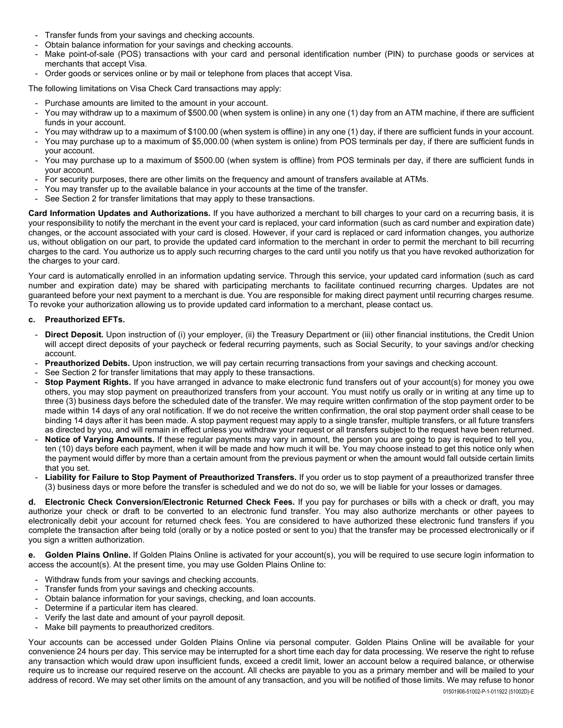- Transfer funds from your savings and checking accounts.
- Obtain balance information for your savings and checking accounts.
- Make point-of-sale (POS) transactions with your card and personal identification number (PIN) to purchase goods or services at merchants that accept Visa.
- Order goods or services online or by mail or telephone from places that accept Visa.
- The following limitations on Visa Check Card transactions may apply:
- Purchase amounts are limited to the amount in your account.
- You may withdraw up to a maximum of \$500.00 (when system is online) in any one (1) day from an ATM machine, if there are sufficient funds in your account.
- You may withdraw up to a maximum of \$100.00 (when system is offline) in any one (1) day, if there are sufficient funds in your account.
- You may purchase up to a maximum of \$5,000.00 (when system is online) from POS terminals per day, if there are sufficient funds in your account.
- You may purchase up to a maximum of \$500.00 (when system is offline) from POS terminals per day, if there are sufficient funds in your account.
- For security purposes, there are other limits on the frequency and amount of transfers available at ATMs.
- You may transfer up to the available balance in your accounts at the time of the transfer.
- See Section 2 for transfer limitations that may apply to these transactions.

**Card Information Updates and Authorizations.** If you have authorized a merchant to bill charges to your card on a recurring basis, it is your responsibility to notify the merchant in the event your card is replaced, your card information (such as card number and expiration date) changes, or the account associated with your card is closed. However, if your card is replaced or card information changes, you authorize us, without obligation on our part, to provide the updated card information to the merchant in order to permit the merchant to bill recurring charges to the card. You authorize us to apply such recurring charges to the card until you notify us that you have revoked authorization for the charges to your card.

Your card is automatically enrolled in an information updating service. Through this service, your updated card information (such as card number and expiration date) may be shared with participating merchants to facilitate continued recurring charges. Updates are not guaranteed before your next payment to a merchant is due. You are responsible for making direct payment until recurring charges resume. To revoke your authorization allowing us to provide updated card information to a merchant, please contact us.

#### **c. Preauthorized EFTs.**

- **Direct Deposit.** Upon instruction of (i) your employer, (ii) the Treasury Department or (iii) other financial institutions, the Credit Union will accept direct deposits of your paycheck or federal recurring payments, such as Social Security, to your savings and/or checking account.
- Preauthorized Debits. Upon instruction, we will pay certain recurring transactions from your savings and checking account.
- See Section 2 for transfer limitations that may apply to these transactions.
- **Stop Payment Rights.** If you have arranged in advance to make electronic fund transfers out of your account(s) for money you owe others, you may stop payment on preauthorized transfers from your account. You must notify us orally or in writing at any time up to three (3) business days before the scheduled date of the transfer. We may require written confirmation of the stop payment order to be made within 14 days of any oral notification. If we do not receive the written confirmation, the oral stop payment order shall cease to be binding 14 days after it has been made. A stop payment request may apply to a single transfer, multiple transfers, or all future transfers as directed by you, and will remain in effect unless you withdraw your request or all transfers subject to the request have been returned.
- Notice of Varying Amounts. If these regular payments may vary in amount, the person you are going to pay is required to tell you, ten (10) days before each payment, when it will be made and how much it will be. You may choose instead to get this notice only when the payment would differ by more than a certain amount from the previous payment or when the amount would fall outside certain limits that you set.
- **Liability for Failure to Stop Payment of Preauthorized Transfers.** If you order us to stop payment of a preauthorized transfer three (3) business days or more before the transfer is scheduled and we do not do so, we will be liable for your losses or damages.

**d. Electronic Check Conversion/Electronic Returned Check Fees.** If you pay for purchases or bills with a check or draft, you may authorize your check or draft to be converted to an electronic fund transfer. You may also authorize merchants or other payees to electronically debit your account for returned check fees. You are considered to have authorized these electronic fund transfers if you complete the transaction after being told (orally or by a notice posted or sent to you) that the transfer may be processed electronically or if you sign a written authorization.

**e. Golden Plains Online.** If Golden Plains Online is activated for your account(s), you will be required to use secure login information to access the account(s). At the present time, you may use Golden Plains Online to:

- Withdraw funds from your savings and checking accounts.
- Transfer funds from your savings and checking accounts.
- Obtain balance information for your savings, checking, and loan accounts.
- Determine if a particular item has cleared.
- Verify the last date and amount of your payroll deposit.
- Make bill payments to preauthorized creditors.

Your accounts can be accessed under Golden Plains Online via personal computer. Golden Plains Online will be available for your convenience 24 hours per day. This service may be interrupted for a short time each day for data processing. We reserve the right to refuse any transaction which would draw upon insufficient funds, exceed a credit limit, lower an account below a required balance, or otherwise require us to increase our required reserve on the account. All checks are payable to you as a primary member and will be mailed to your address of record. We may set other limits on the amount of any transaction, and you will be notified of those limits. We may refuse to honor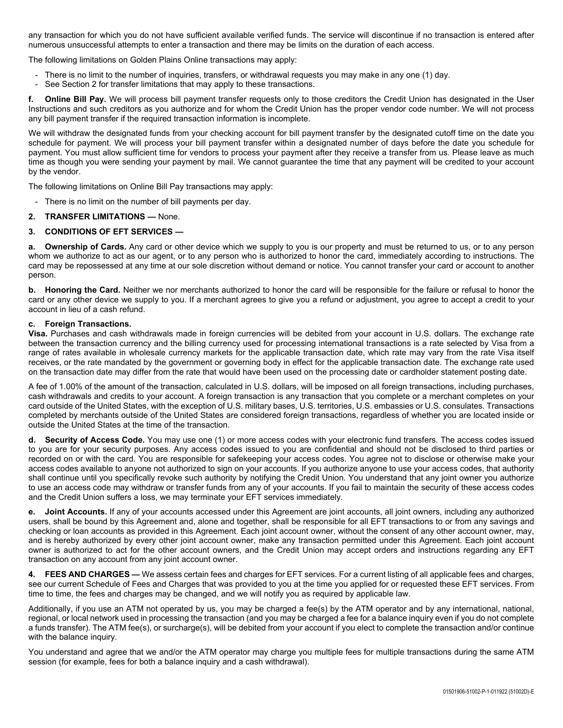any transaction for which you do not have sufficient available verified funds. The service will discontinue if no transaction is entered after numerous unsuccessful attempts to enter a transaction and there may be limits on the duration of each access.

The following limitations on Golden Plains Online transactions may apply:

- There is no limit to the number of inquiries, transfers, or withdrawal requests you may make in any one (1) day.
- See Section 2 for transfer limitations that may apply to these transactions.

**f. Online Bill Pay.** We will process bill payment transfer requests only to those creditors the Credit Union has designated in the User Instructions and such creditors as you authorize and for whom the Credit Union has the proper vendor code number. We will not process any bill payment transfer if the required transaction information is incomplete.

We will withdraw the designated funds from your checking account for bill payment transfer by the designated cutoff time on the date you schedule for payment. We will process your bill payment transfer within a designated number of days before the date you schedule for payment. You must allow sufficient time for vendors to process your payment after they receive a transfer from us. Please leave as much time as though you were sending your payment by mail. We cannot guarantee the time that any payment will be credited to your account by the vendor.

The following limitations on Online Bill Pay transactions may apply:

- There is no limit on the number of bill payments per day.

#### **2. TRANSFER LIMITATIONS —** None.

#### **3. CONDITIONS OF EFT SERVICES —**

**a. Ownership of Cards.** Any card or other device which we supply to you is our property and must be returned to us, or to any person whom we authorize to act as our agent, or to any person who is authorized to honor the card, immediately according to instructions. The card may be repossessed at any time at our sole discretion without demand or notice. You cannot transfer your card or account to another person.

**b. Honoring the Card.** Neither we nor merchants authorized to honor the card will be responsible for the failure or refusal to honor the card or any other device we supply to you. If a merchant agrees to give you a refund or adjustment, you agree to accept a credit to your account in lieu of a cash refund.

#### **c. Foreign Transactions.**

**Visa.** Purchases and cash withdrawals made in foreign currencies will be debited from your account in U.S. dollars. The exchange rate between the transaction currency and the billing currency used for processing international transactions is a rate selected by Visa from a range of rates available in wholesale currency markets for the applicable transaction date, which rate may vary from the rate Visa itself receives, or the rate mandated by the government or governing body in effect for the applicable transaction date. The exchange rate used on the transaction date may differ from the rate that would have been used on the processing date or cardholder statement posting date.

A fee of 1.00% of the amount of the transaction, calculated in U.S. dollars, will be imposed on all foreign transactions, including purchases, cash withdrawals and credits to your account. A foreign transaction is any transaction that you complete or a merchant completes on your card outside of the United States, with the exception of U.S. military bases, U.S. territories, U.S. embassies or U.S. consulates. Transactions completed by merchants outside of the United States are considered foreign transactions, regardless of whether you are located inside or outside the United States at the time of the transaction.

**d. Security of Access Code.** You may use one (1) or more access codes with your electronic fund transfers. The access codes issued to you are for your security purposes. Any access codes issued to you are confidential and should not be disclosed to third parties or recorded on or with the card. You are responsible for safekeeping your access codes. You agree not to disclose or otherwise make your access codes available to anyone not authorized to sign on your accounts. If you authorize anyone to use your access codes, that authority shall continue until you specifically revoke such authority by notifying the Credit Union. You understand that any joint owner you authorize to use an access code may withdraw or transfer funds from any of your accounts. If you fail to maintain the security of these access codes and the Credit Union suffers a loss, we may terminate your EFT services immediately.

**e. Joint Accounts.** If any of your accounts accessed under this Agreement are joint accounts, all joint owners, including any authorized users, shall be bound by this Agreement and, alone and together, shall be responsible for all EFT transactions to or from any savings and checking or loan accounts as provided in this Agreement. Each joint account owner, without the consent of any other account owner, may, and is hereby authorized by every other joint account owner, make any transaction permitted under this Agreement. Each joint account owner is authorized to act for the other account owners, and the Credit Union may accept orders and instructions regarding any EFT transaction on any account from any joint account owner.

**4. FEES AND CHARGES —** We assess certain fees and charges for EFT services. For a current listing of all applicable fees and charges, see our current Schedule of Fees and Charges that was provided to you at the time you applied for or requested these EFT services. From time to time, the fees and charges may be changed, and we will notify you as required by applicable law.

Additionally, if you use an ATM not operated by us, you may be charged a fee(s) by the ATM operator and by any international, national, regional, or local network used in processing the transaction (and you may be charged a fee for a balance inquiry even if you do not complete a funds transfer). The ATM fee(s), or surcharge(s), will be debited from your account if you elect to complete the transaction and/or continue with the balance inquiry.

You understand and agree that we and/or the ATM operator may charge you multiple fees for multiple transactions during the same ATM session (for example, fees for both a balance inquiry and a cash withdrawal).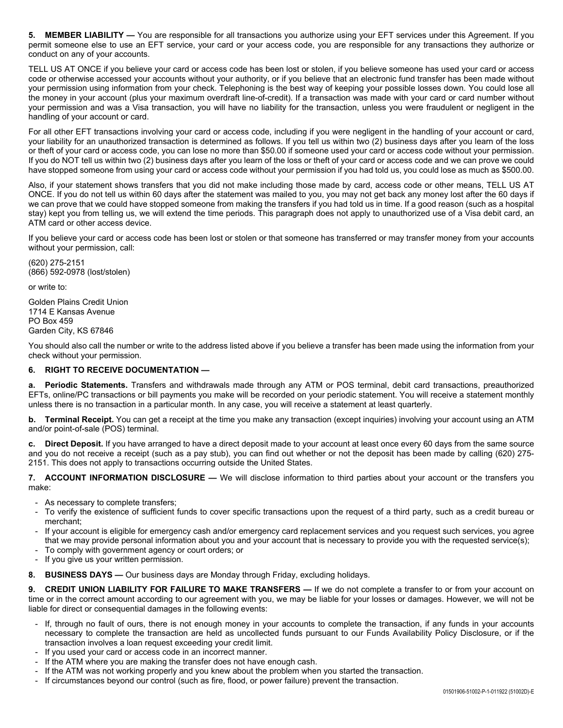**5. MEMBER LIABILITY —** You are responsible for all transactions you authorize using your EFT services under this Agreement. If you permit someone else to use an EFT service, your card or your access code, you are responsible for any transactions they authorize or conduct on any of your accounts.

TELL US AT ONCE if you believe your card or access code has been lost or stolen, if you believe someone has used your card or access code or otherwise accessed your accounts without your authority, or if you believe that an electronic fund transfer has been made without your permission using information from your check. Telephoning is the best way of keeping your possible losses down. You could lose all the money in your account (plus your maximum overdraft line-of-credit). If a transaction was made with your card or card number without your permission and was a Visa transaction, you will have no liability for the transaction, unless you were fraudulent or negligent in the handling of your account or card.

For all other EFT transactions involving your card or access code, including if you were negligent in the handling of your account or card, your liability for an unauthorized transaction is determined as follows. If you tell us within two (2) business days after you learn of the loss or theft of your card or access code, you can lose no more than \$50.00 if someone used your card or access code without your permission. If you do NOT tell us within two (2) business days after you learn of the loss or theft of your card or access code and we can prove we could have stopped someone from using your card or access code without your permission if you had told us, you could lose as much as \$500.00.

Also, if your statement shows transfers that you did not make including those made by card, access code or other means, TELL US AT ONCE. If you do not tell us within 60 days after the statement was mailed to you, you may not get back any money lost after the 60 days if we can prove that we could have stopped someone from making the transfers if you had told us in time. If a good reason (such as a hospital stay) kept you from telling us, we will extend the time periods. This paragraph does not apply to unauthorized use of a Visa debit card, an ATM card or other access device.

If you believe your card or access code has been lost or stolen or that someone has transferred or may transfer money from your accounts without your permission, call:

(620) 275-2151 (866) 592-0978 (lost/stolen)

or write to:

Golden Plains Credit Union 1714 E Kansas Avenue PO Box 459 Garden City, KS 67846

You should also call the number or write to the address listed above if you believe a transfer has been made using the information from your check without your permission.

### **6. RIGHT TO RECEIVE DOCUMENTATION —**

**a. Periodic Statements.** Transfers and withdrawals made through any ATM or POS terminal, debit card transactions, preauthorized EFTs, online/PC transactions or bill payments you make will be recorded on your periodic statement. You will receive a statement monthly unless there is no transaction in a particular month. In any case, you will receive a statement at least quarterly.

**b. Terminal Receipt.** You can get a receipt at the time you make any transaction (except inquiries) involving your account using an ATM and/or point-of-sale (POS) terminal.

**c. Direct Deposit.** If you have arranged to have a direct deposit made to your account at least once every 60 days from the same source and you do not receive a receipt (such as a pay stub), you can find out whether or not the deposit has been made by calling (620) 275- 2151. This does not apply to transactions occurring outside the United States.

**7. ACCOUNT INFORMATION DISCLOSURE —** We will disclose information to third parties about your account or the transfers you make:

- As necessary to complete transfers;
- To verify the existence of sufficient funds to cover specific transactions upon the request of a third party, such as a credit bureau or merchant;
- If your account is eligible for emergency cash and/or emergency card replacement services and you request such services, you agree that we may provide personal information about you and your account that is necessary to provide you with the requested service(s);
- To comply with government agency or court orders; or
- If you give us your written permission.
- **8. BUSINESS DAYS —** Our business days are Monday through Friday, excluding holidays.

**9. CREDIT UNION LIABILITY FOR FAILURE TO MAKE TRANSFERS —** If we do not complete a transfer to or from your account on time or in the correct amount according to our agreement with you, we may be liable for your losses or damages. However, we will not be liable for direct or consequential damages in the following events:

- If, through no fault of ours, there is not enough money in your accounts to complete the transaction, if any funds in your accounts necessary to complete the transaction are held as uncollected funds pursuant to our Funds Availability Policy Disclosure, or if the transaction involves a loan request exceeding your credit limit.
- If you used your card or access code in an incorrect manner.
- If the ATM where you are making the transfer does not have enough cash.
- If the ATM was not working properly and you knew about the problem when you started the transaction.
- If circumstances beyond our control (such as fire, flood, or power failure) prevent the transaction.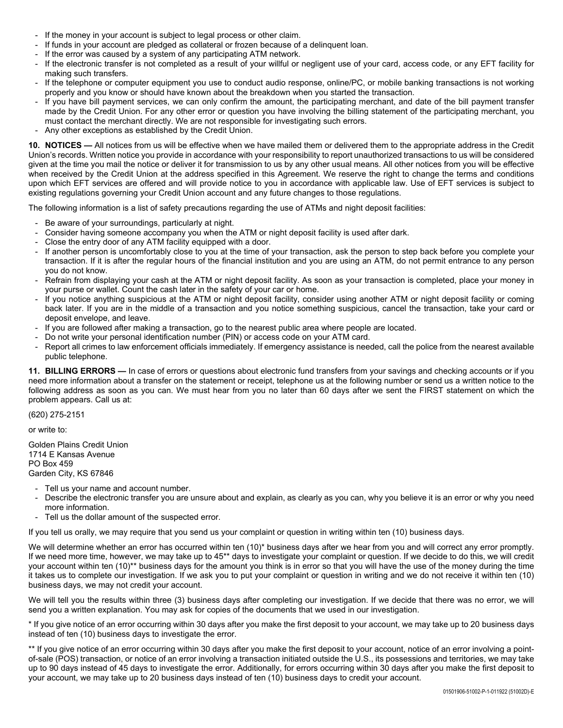- If the money in your account is subject to legal process or other claim.
- If funds in your account are pledged as collateral or frozen because of a delinquent loan.
- If the error was caused by a system of any participating ATM network.
- If the electronic transfer is not completed as a result of your willful or negligent use of your card, access code, or any EFT facility for making such transfers.
- If the telephone or computer equipment you use to conduct audio response, online/PC, or mobile banking transactions is not working properly and you know or should have known about the breakdown when you started the transaction.
- If you have bill payment services, we can only confirm the amount, the participating merchant, and date of the bill payment transfer made by the Credit Union. For any other error or question you have involving the billing statement of the participating merchant, you must contact the merchant directly. We are not responsible for investigating such errors.
- Any other exceptions as established by the Credit Union.

**10. NOTICES —** All notices from us will be effective when we have mailed them or delivered them to the appropriate address in the Credit Union's records. Written notice you provide in accordance with your responsibility to report unauthorized transactions to us will be considered given at the time you mail the notice or deliver it for transmission to us by any other usual means. All other notices from you will be effective when received by the Credit Union at the address specified in this Agreement. We reserve the right to change the terms and conditions upon which EFT services are offered and will provide notice to you in accordance with applicable law. Use of EFT services is subject to existing regulations governing your Credit Union account and any future changes to those regulations.

The following information is a list of safety precautions regarding the use of ATMs and night deposit facilities:

- Be aware of your surroundings, particularly at night.
- Consider having someone accompany you when the ATM or night deposit facility is used after dark.
- Close the entry door of any ATM facility equipped with a door.
- If another person is uncomfortably close to you at the time of your transaction, ask the person to step back before you complete your transaction. If it is after the regular hours of the financial institution and you are using an ATM, do not permit entrance to any person you do not know.
- Refrain from displaying your cash at the ATM or night deposit facility. As soon as your transaction is completed, place your money in your purse or wallet. Count the cash later in the safety of your car or home.
- If you notice anything suspicious at the ATM or night deposit facility, consider using another ATM or night deposit facility or coming back later. If you are in the middle of a transaction and you notice something suspicious, cancel the transaction, take your card or deposit envelope, and leave.
- If you are followed after making a transaction, go to the nearest public area where people are located.
- Do not write your personal identification number (PIN) or access code on your ATM card.
- Report all crimes to law enforcement officials immediately. If emergency assistance is needed, call the police from the nearest available public telephone.

**11. BILLING ERRORS —** In case of errors or questions about electronic fund transfers from your savings and checking accounts or if you need more information about a transfer on the statement or receipt, telephone us at the following number or send us a written notice to the following address as soon as you can. We must hear from you no later than 60 days after we sent the FIRST statement on which the problem appears. Call us at:

(620) 275-2151

or write to:

Golden Plains Credit Union 1714 E Kansas Avenue PO Box 459 Garden City, KS 67846

- Tell us your name and account number.
- Describe the electronic transfer you are unsure about and explain, as clearly as you can, why you believe it is an error or why you need more information.
- Tell us the dollar amount of the suspected error.

If you tell us orally, we may require that you send us your complaint or question in writing within ten (10) business days.

We will determine whether an error has occurred within ten (10)\* business days after we hear from you and will correct any error promptly. If we need more time, however, we may take up to 45<sup>\*\*</sup> days to investigate your complaint or question. If we decide to do this, we will credit your account within ten (10)\*\* business days for the amount you think is in error so that you will have the use of the money during the time it takes us to complete our investigation. If we ask you to put your complaint or question in writing and we do not receive it within ten (10) business days, we may not credit your account.

We will tell you the results within three (3) business days after completing our investigation. If we decide that there was no error, we will send you a written explanation. You may ask for copies of the documents that we used in our investigation.

\* If you give notice of an error occurring within 30 days after you make the first deposit to your account, we may take up to 20 business days instead of ten (10) business days to investigate the error.

\*\* If you give notice of an error occurring within 30 days after you make the first deposit to your account, notice of an error involving a pointof-sale (POS) transaction, or notice of an error involving a transaction initiated outside the U.S., its possessions and territories, we may take up to 90 days instead of 45 days to investigate the error. Additionally, for errors occurring within 30 days after you make the first deposit to your account, we may take up to 20 business days instead of ten (10) business days to credit your account.